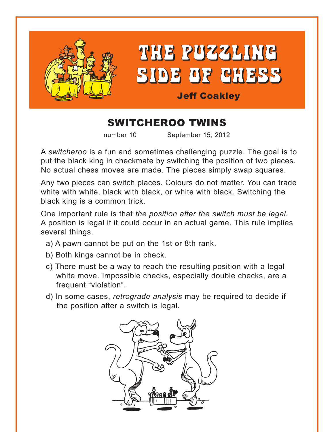

# THE PUZZLING SIDE OF CHESS

#### Jeff Coakley

## SWITCHEROO TWINS

number 10 September 15, 2012

A *switcheroo* is a fun and sometimes challenging puzzle. The goal is to put the black king in checkmate by switching the position of two pieces. No actual chess moves are made. The pieces simply swap squares.

Any two pieces can switch places. Colours do not matter. You can trade white with white, black with black, or white with black. Switching the black king is a common trick.

One important rule is that *the position after the switch must be legal*. A position is legal if it could occur in an actual game. This rule implies several things.

- a) A pawn cannot be put on the 1st or 8th rank.
- b) Both kings cannot be in check.
- c) There must be a way to reach the resulting position with a legal white move. Impossible checks, especially double checks, are a frequent "violation".
- d) In some cases, *retrograde analysis* may be required to decide if the position after a switch is legal.

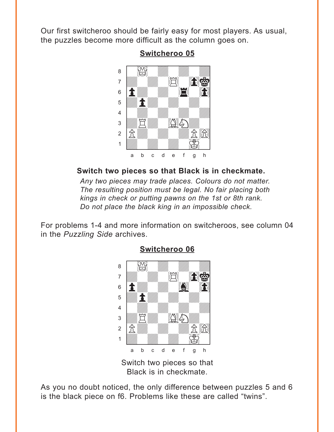<span id="page-1-0"></span>Our first switcheroo should be fairly easy for most players. As usual, the puzzles become more difficult as the column goes on.



#### **[Switcheroo 05](#page-6-0)**

#### **Switch two pieces so that Black is in checkmate.**

*Any two pieces may trade places. Colours do not matter. The resulting position must be legal. No fair placing both kings in check or putting pawns on the 1st or 8th rank. Do not place the black king in an impossible check.*

For problems 1-4 and more information on switcheroos, see column 04 in the *Puzzling Side* archives.



#### **[Switcheroo 06](#page-6-0)**

Switch two pieces so that Black is in checkmate.

As you no doubt noticed, the only difference between puzzles 5 and 6 is the black piece on f6. Problems like these are called "twins".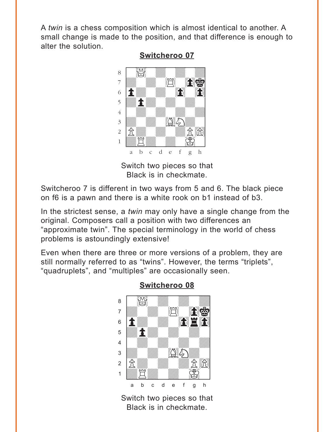<span id="page-2-0"></span>A *twin* is a chess composition which is almost identical to another. A small change is made to the position, and that difference is enough to alter the solution.



**[Switcheroo 07](#page-7-0)**

Switcheroo 7 is different in two ways from 5 and 6. The black piece on f6 is a pawn and there is a white rook on b1 instead of b3.

In the strictest sense, a *twin* may only have a single change from the original. Composers call a position with two differences an "approximate twin". The special terminology in the world of chess problems is astoundingly extensive!

Even when there are three or more versions of a problem, they are still normally referred to as "twins". However, the terms "triplets", "quadruplets", and "multiples" are occasionally seen.



# **[Switcheroo 08](#page-7-0)**

Switch two pieces so that Black is in checkmate.

Switch two pieces so that Black is in checkmate.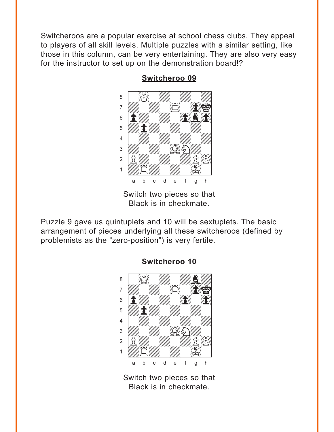<span id="page-3-0"></span>Switcheroos are a popular exercise at school chess clubs. They appeal to players of all skill levels. Multiple puzzles with a similar setting, like those in this column, can be very entertaining. They are also very easy for the instructor to set up on the demonstration board!?



**[Switcheroo 09](#page-8-0)**

Switch two pieces so that Black is in checkmate.

Puzzle 9 gave us quintuplets and 10 will be sextuplets. The basic arrangement of pieces underlying all these switcheroos (defined by problemists as the "zero-position") is very fertile.



#### **[Switcheroo 10](#page-8-0)**

Switch two pieces so that Black is in checkmate.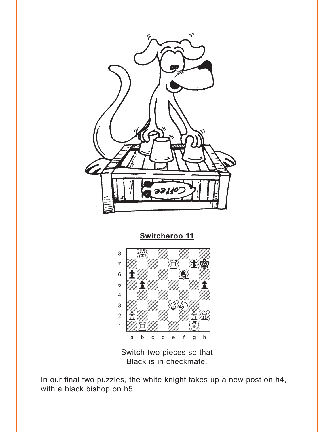<span id="page-4-0"></span>



Switch two pieces so that Black is in checkmate.

In our final two puzzles, the white knight takes up a new post on h4, with a black bishop on h5.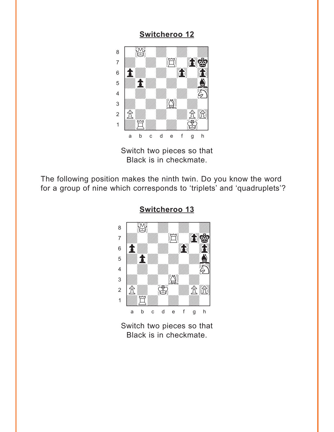<span id="page-5-0"></span>

Switch two pieces so that Black is in checkmate.

The following position makes the ninth twin. Do you know the word for a group of nine which corresponds to 'triplets' and 'quadruplets'?



**[Switcheroo 13](#page-10-0)**

Switch two pieces so that Black is in checkmate.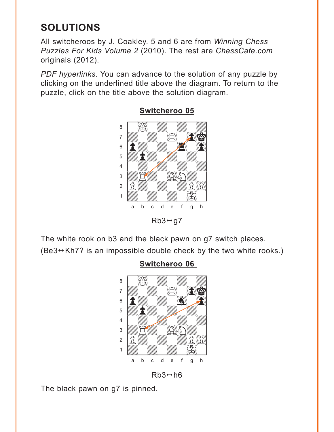### <span id="page-6-0"></span>**SOLUTIONS**

All switcheroos by J. Coakley. 5 and 6 are from *Winning Chess Puzzles For Kids Volume 2* (2010). The rest are *ChessCafe.com* originals (2012).

*PDF hyperlinks*. You can advance to the solution of any puzzle by clicking on the underlined title above the diagram. To return to the puzzle, click on the title above the solution diagram.



#### **[Switcheroo 05](#page-1-0)**

The white rook on b3 and the black pawn on g7 switch places.  $(Be3 \rightarrow Kh7$ ? is an impossible double check by the two white rooks.)



#### **[Switcheroo 06](#page-1-0)**

 $Rb3 \leftrightarrow h6$ 

The black pawn on g7 is pinned.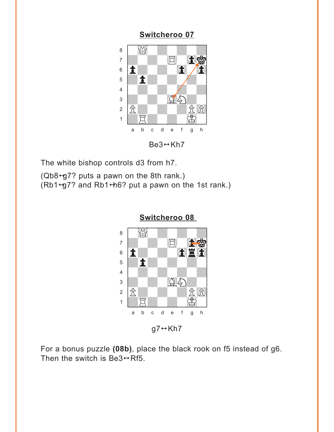#### <span id="page-7-0"></span>**[Switcheroo 07](#page-2-0)**  $\frac{$  Unicherously



 $Be3 \leftrightarrow Kh7$ 

The white bishop controls d3 from h7.

 $(Qb8 + g7?$  puts a pawn on the 8th rank.)  $(Rb1+g7?$  and Rb1+h6? put a pawn on the 1st rank.)



For a bonus puzzle **(08b)**, place the black rook on f5 instead of g6. Then the switch is Be3 $\leftrightarrow$ Rf5.

**[Switcheroo 08](#page-2-0)**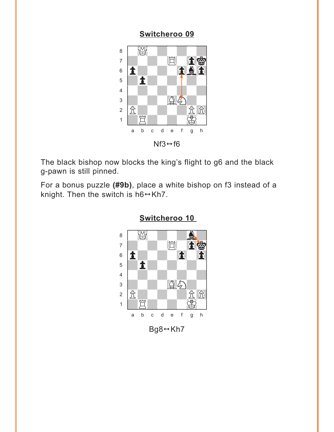<span id="page-8-0"></span>

The black bishop now blocks the king's flight to g6 and the black g-pawn is still pinned.

For a bonus puzzle **(#9b)**, place a white bishop on f3 instead of a knight. Then the switch is  $h6 \leftrightarrow Kh7$ .



**[Switcheroo 10](#page-3-0)**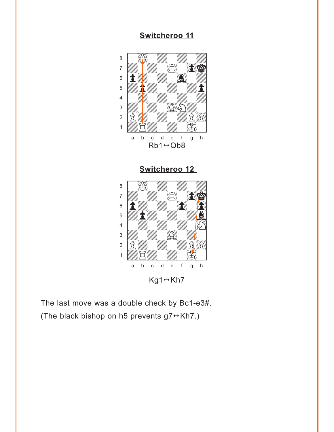<span id="page-9-0"></span>

**[Switcheroo 12](#page-5-0)**



The last move was a double check by Bc1-e3#.

(The black bishop on h5 prevents  $g7 \leftrightarrow Kh7$ .)